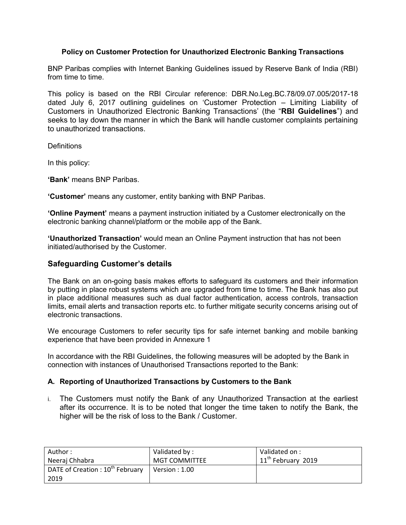### **Policy on Customer Protection for Unauthorized Electronic Banking Transactions**

BNP Paribas complies with Internet Banking Guidelines issued by Reserve Bank of India (RBI) from time to time.

This policy is based on the RBI Circular reference: DBR.No.Leg.BC.78/09.07.005/2017-18 dated July 6, 2017 outlining guidelines on 'Customer Protection – Limiting Liability of Customers in Unauthorized Electronic Banking Transactions' (the "**RBI Guidelines**") and seeks to lay down the manner in which the Bank will handle customer complaints pertaining to unauthorized transactions.

**Definitions** 

In this policy:

**'Bank'** means BNP Paribas.

**'Customer'** means any customer, entity banking with BNP Paribas.

**'Online Payment'** means a payment instruction initiated by a Customer electronically on the electronic banking channel/platform or the mobile app of the Bank.

**'Unauthorized Transaction'** would mean an Online Payment instruction that has not been initiated/authorised by the Customer.

### **Safeguarding Customer's details**

The Bank on an on-going basis makes efforts to safeguard its customers and their information by putting in place robust systems which are upgraded from time to time. The Bank has also put in place additional measures such as dual factor authentication, access controls, transaction limits, email alerts and transaction reports etc. to further mitigate security concerns arising out of electronic transactions.

We encourage Customers to refer security tips for safe internet banking and mobile banking experience that have been provided in Annexure 1

In accordance with the RBI Guidelines, the following measures will be adopted by the Bank in connection with instances of Unauthorised Transactions reported to the Bank:

### **A. Reporting of Unauthorized Transactions by Customers to the Bank**

i. The Customers must notify the Bank of any Unauthorized Transaction at the earliest after its occurrence. It is to be noted that longer the time taken to notify the Bank, the higher will be the risk of loss to the Bank / Customer.

| Author:                                      | Validated by :       | Validated on :       |
|----------------------------------------------|----------------------|----------------------|
| Neeraj Chhabra                               | <b>MGT COMMITTEE</b> | $11th$ February 2019 |
| DATE of Creation : 10 <sup>th</sup> February | Version : $1.00$     |                      |
| 2019                                         |                      |                      |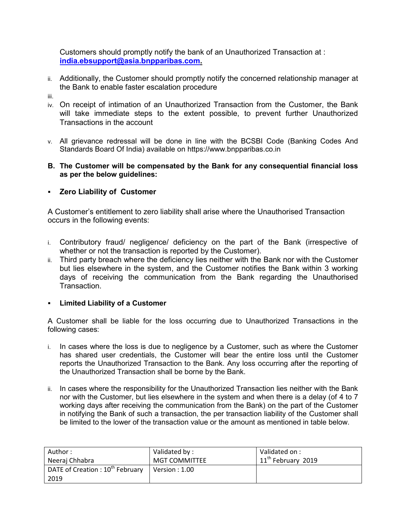Customers should promptly notify the bank of an Unauthorized Transaction at : **[india.ebsupport@asia.bnpparibas.com.](mailto:india.ebsupport@asia.bnpparibas.com)** 

- ii. Additionally, the Customer should promptly notify the concerned relationship manager at the Bank to enable faster escalation procedure
- iii.
- iv. On receipt of intimation of an Unauthorized Transaction from the Customer, the Bank will take immediate steps to the extent possible, to prevent further Unauthorized Transactions in the account
- v. All grievance redressal will be done in line with the BCSBI Code (Banking Codes And Standards Board Of India) available on https://www.bnpparibas.co.in
- **B. The Customer will be compensated by the Bank for any consequential financial loss as per the below guidelines:**
- **Zero Liability of Customer**

A Customer's entitlement to zero liability shall arise where the Unauthorised Transaction occurs in the following events:

- i. Contributory fraud/ negligence/ deficiency on the part of the Bank (irrespective of whether or not the transaction is reported by the Customer).
- ii. Third party breach where the deficiency lies neither with the Bank nor with the Customer but lies elsewhere in the system, and the Customer notifies the Bank within 3 working days of receiving the communication from the Bank regarding the Unauthorised Transaction.

## **Limited Liability of a Customer**

A Customer shall be liable for the loss occurring due to Unauthorized Transactions in the following cases:

- i. In cases where the loss is due to negligence by a Customer, such as where the Customer has shared user credentials, the Customer will bear the entire loss until the Customer reports the Unauthorized Transaction to the Bank. Any loss occurring after the reporting of the Unauthorized Transaction shall be borne by the Bank.
- ii. In cases where the responsibility for the Unauthorized Transaction lies neither with the Bank nor with the Customer, but lies elsewhere in the system and when there is a delay (of 4 to 7 working days after receiving the communication from the Bank) on the part of the Customer in notifying the Bank of such a transaction, the per transaction liability of the Customer shall be limited to the lower of the transaction value or the amount as mentioned in table below.

| Author:                                      | Validated by :        | Validated on :       |
|----------------------------------------------|-----------------------|----------------------|
| Neeraj Chhabra                               | <b>MGT COMMITTEE</b>  | $11th$ February 2019 |
| DATE of Creation : 10 <sup>th</sup> February | $\mid$ Version : 1.00 |                      |
| 2019                                         |                       |                      |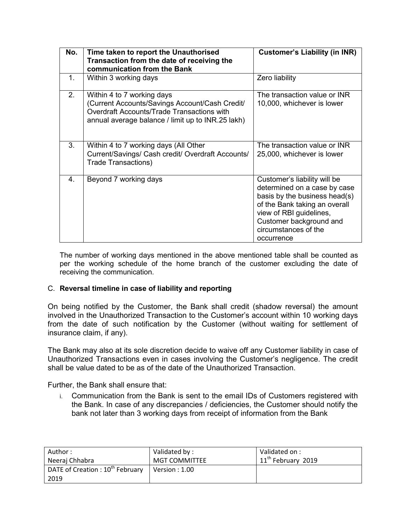| No. | Time taken to report the Unauthorised<br>Transaction from the date of receiving the<br>communication from the Bank                                                              | <b>Customer's Liability (in INR)</b>                                                                                                                                                                                       |
|-----|---------------------------------------------------------------------------------------------------------------------------------------------------------------------------------|----------------------------------------------------------------------------------------------------------------------------------------------------------------------------------------------------------------------------|
| 1.  | Within 3 working days                                                                                                                                                           | Zero liability                                                                                                                                                                                                             |
| 2.  | Within 4 to 7 working days<br>(Current Accounts/Savings Account/Cash Credit/<br>Overdraft Accounts/Trade Transactions with<br>annual average balance / limit up to INR.25 lakh) | The transaction value or INR<br>10,000, whichever is lower                                                                                                                                                                 |
| 3.  | Within 4 to 7 working days (All Other<br>Current/Savings/ Cash credit/ Overdraft Accounts/<br><b>Trade Transactions)</b>                                                        | The transaction value or INR<br>25,000, whichever is lower                                                                                                                                                                 |
| 4.  | Beyond 7 working days                                                                                                                                                           | Customer's liability will be<br>determined on a case by case<br>basis by the business head(s)<br>of the Bank taking an overall<br>view of RBI guidelines,<br>Customer background and<br>circumstances of the<br>occurrence |

The number of working days mentioned in the above mentioned table shall be counted as per the working schedule of the home branch of the customer excluding the date of receiving the communication.

### C. **Reversal timeline in case of liability and reporting**

On being notified by the Customer, the Bank shall credit (shadow reversal) the amount involved in the Unauthorized Transaction to the Customer's account within 10 working days from the date of such notification by the Customer (without waiting for settlement of insurance claim, if any).

The Bank may also at its sole discretion decide to waive off any Customer liability in case of Unauthorized Transactions even in cases involving the Customer's negligence. The credit shall be value dated to be as of the date of the Unauthorized Transaction.

Further, the Bank shall ensure that:

i. Communication from the Bank is sent to the email IDs of Customers registered with the Bank. In case of any discrepancies / deficiencies, the Customer should notify the bank not later than 3 working days from receipt of information from the Bank

| Author:                                      | Validated by :       | Validated on :                 |
|----------------------------------------------|----------------------|--------------------------------|
| Neeraj Chhabra                               | <b>MGT COMMITTEE</b> | 11 <sup>th</sup> February 2019 |
| DATE of Creation : 10 <sup>th</sup> February | Version : 1.00       |                                |
| 2019                                         |                      |                                |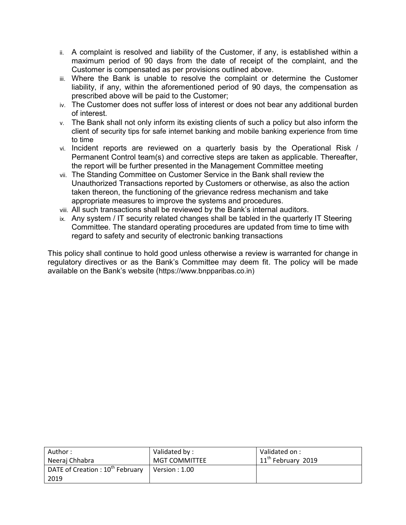- ii. A complaint is resolved and liability of the Customer, if any, is established within a maximum period of 90 days from the date of receipt of the complaint, and the Customer is compensated as per provisions outlined above.
- iii. Where the Bank is unable to resolve the complaint or determine the Customer liability, if any, within the aforementioned period of 90 days, the compensation as prescribed above will be paid to the Customer;
- iv. The Customer does not suffer loss of interest or does not bear any additional burden of interest.
- v. The Bank shall not only inform its existing clients of such a policy but also inform the client of security tips for safe internet banking and mobile banking experience from time to time
- vi. Incident reports are reviewed on a quarterly basis by the Operational Risk / Permanent Control team(s) and corrective steps are taken as applicable. Thereafter, the report will be further presented in the Management Committee meeting
- vii. The Standing Committee on Customer Service in the Bank shall review the Unauthorized Transactions reported by Customers or otherwise, as also the action taken thereon, the functioning of the grievance redress mechanism and take appropriate measures to improve the systems and procedures.
- viii. All such transactions shall be reviewed by the Bank's internal auditors.
- ix. Any system / IT security related changes shall be tabled in the quarterly IT Steering Committee. The standard operating procedures are updated from time to time with regard to safety and security of electronic banking transactions

This policy shall continue to hold good unless otherwise a review is warranted for change in regulatory directives or as the Bank's Committee may deem fit. The policy will be made available on the Bank's website (https://www.bnpparibas.co.in)

| Author:                                      | Validated by:         | Validated on :                 |
|----------------------------------------------|-----------------------|--------------------------------|
| Neeraj Chhabra                               | <b>MGT COMMITTEE</b>  | 11 <sup>th</sup> February 2019 |
| DATE of Creation : 10 <sup>th</sup> February | $\mid$ Version : 1.00 |                                |
| 2019                                         |                       |                                |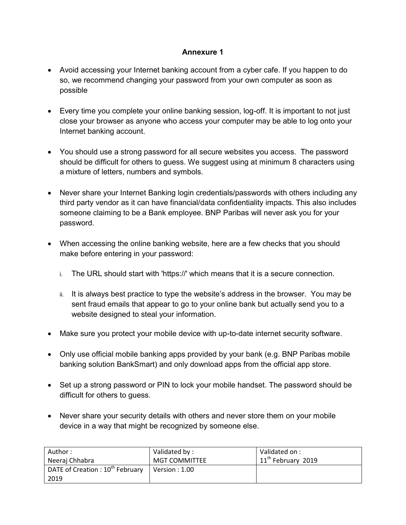# **Annexure 1**

- Avoid accessing your Internet banking account from a cyber cafe. If you happen to do so, we recommend changing your password from your own computer as soon as possible
- Every time you complete your online banking session, log-off. It is important to not just close your browser as anyone who access your computer may be able to log onto your Internet banking account.
- You should use a strong password for all secure websites you access. The password should be difficult for others to guess. We suggest using at minimum 8 characters using a mixture of letters, numbers and symbols.
- Never share your Internet Banking login credentials/passwords with others including any third party vendor as it can have financial/data confidentiality impacts. This also includes someone claiming to be a Bank employee. BNP Paribas will never ask you for your password.
- When accessing the online banking website, here are a few checks that you should make before entering in your password:
	- i. The URL should start with 'https://' which means that it is a secure connection.
	- ii. It is always best practice to type the website's address in the browser. You may be sent fraud emails that appear to go to your online bank but actually send you to a website designed to steal your information.
- Make sure you protect your mobile device with up-to-date internet security software.
- Only use official mobile banking apps provided by your bank (e.g. BNP Paribas mobile banking solution BankSmart) and only download apps from the official app store.
- Set up a strong password or PIN to lock your mobile handset. The password should be difficult for others to guess.
- Never share your security details with others and never store them on your mobile device in a way that might be recognized by someone else.

| Author :                                    | Validated by:        | Validated on :                 |
|---------------------------------------------|----------------------|--------------------------------|
| Neeraj Chhabra                              | <b>MGT COMMITTEE</b> | 11 <sup>th</sup> February 2019 |
| DATE of Creation: 10 <sup>th</sup> February | Version : $1.00$     |                                |
| 2019                                        |                      |                                |